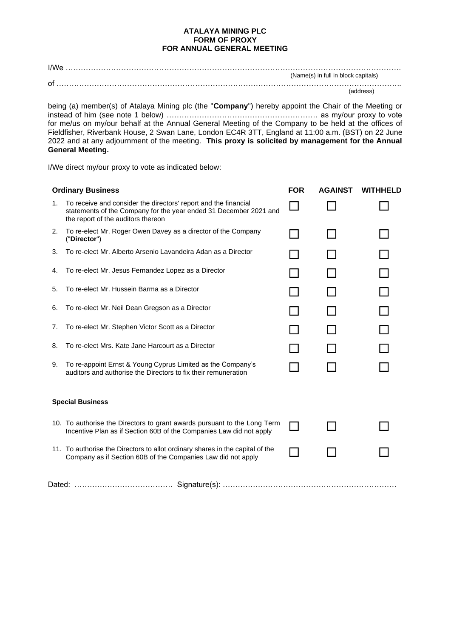## **ATALAYA MINING PLC FORM OF PROXY FOR ANNUAL GENERAL MEETING**

I/We ……………………………………………………………………………………………………………………. (Name(s) in full in block capitals) of ………………………………………………………………………………………………………………………..

(address)

being (a) member(s) of Atalaya Mining plc (the "**Company**") hereby appoint the Chair of the Meeting or instead of him (see note 1 below) …………………………………………………… as my/our proxy to vote for me/us on my/our behalf at the Annual General Meeting of the Company to be held at the offices of Fieldfisher, Riverbank House, 2 Swan Lane, London EC4R 3TT, England at 11:00 a.m. (BST) on 22 June 2022 and at any adjournment of the meeting. **This proxy is solicited by management for the Annual General Meeting.**

I/We direct my/our proxy to vote as indicated below:

| <b>Ordinary Business</b> |                                                                                                                                                                            | <b>FOR</b> | <b>AGAINST</b> | <b>WITHHELD</b> |
|--------------------------|----------------------------------------------------------------------------------------------------------------------------------------------------------------------------|------------|----------------|-----------------|
| 1.                       | To receive and consider the directors' report and the financial<br>statements of the Company for the year ended 31 December 2021 and<br>the report of the auditors thereon |            |                |                 |
| 2.                       | To re-elect Mr. Roger Owen Davey as a director of the Company<br>("Director")                                                                                              |            |                |                 |
| 3.                       | To re-elect Mr. Alberto Arsenio Lavandeira Adan as a Director                                                                                                              |            |                |                 |
| 4.                       | To re-elect Mr. Jesus Fernandez Lopez as a Director                                                                                                                        |            |                |                 |
| 5.                       | To re-elect Mr. Hussein Barma as a Director                                                                                                                                |            |                |                 |
| 6.                       | To re-elect Mr. Neil Dean Gregson as a Director                                                                                                                            |            |                |                 |
| 7.                       | To re-elect Mr. Stephen Victor Scott as a Director                                                                                                                         |            |                |                 |
| 8.                       | To re-elect Mrs. Kate Jane Harcourt as a Director                                                                                                                          |            |                |                 |
| 9.                       | To re-appoint Ernst & Young Cyprus Limited as the Company's<br>auditors and authorise the Directors to fix their remuneration                                              |            |                |                 |
| <b>Special Business</b>  |                                                                                                                                                                            |            |                |                 |
|                          | 10. To authorise the Directors to grant awards pursuant to the Long Term<br>Incentive Plan as if Section 60B of the Companies Law did not apply                            |            |                |                 |
|                          | 11. To authorise the Directors to allot ordinary shares in the capital of the<br>Company as if Section 60B of the Companies Law did not apply                              |            |                |                 |
|                          |                                                                                                                                                                            |            |                |                 |